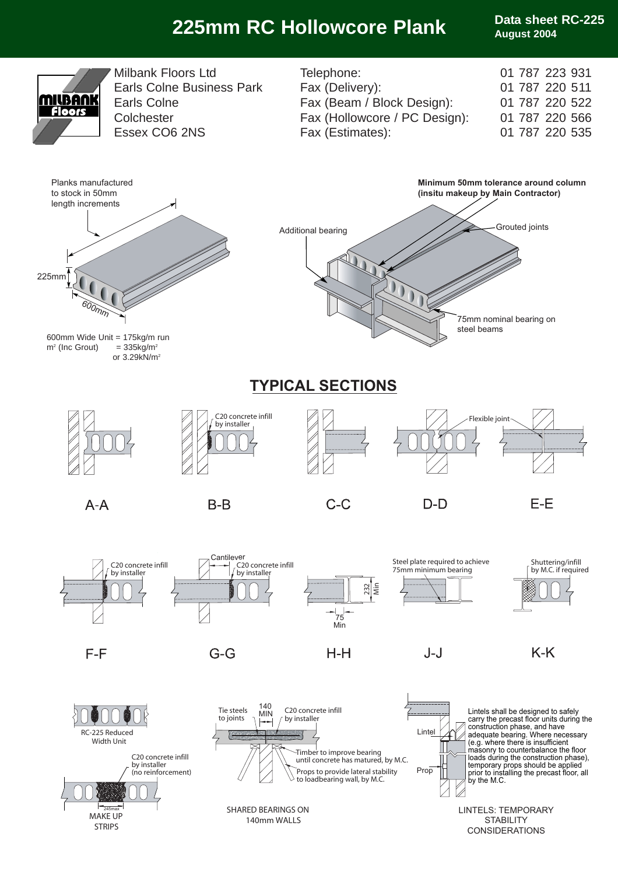# **225mm RC Hollowcore Plank Data sheet RC-225**

**August 2004**